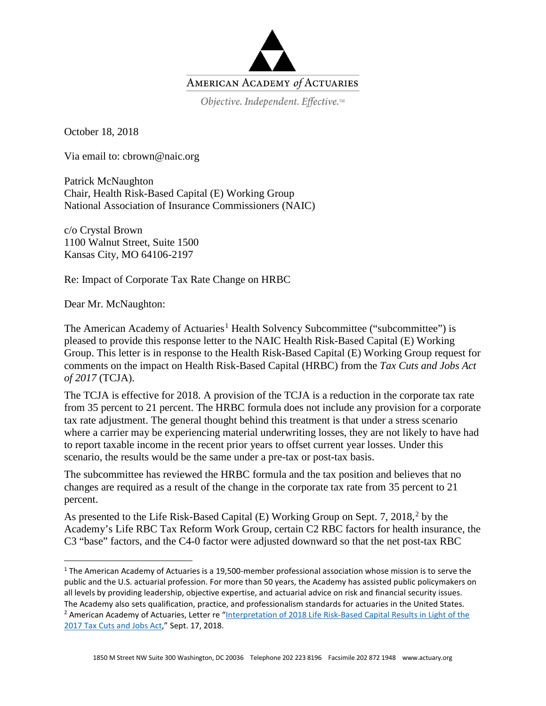

Objective. Independent. Effective.™

October 18, 2018

Via email to: cbrown@naic.org

Patrick McNaughton Chair, Health Risk-Based Capital (E) Working Group National Association of Insurance Commissioners (NAIC)

c/o Crystal Brown 1100 Walnut Street, Suite 1500 Kansas City, MO 64106-2197

Re: Impact of Corporate Tax Rate Change on HRBC

Dear Mr. McNaughton:

The American Academy of Actuaries<sup>[1](#page-0-0)</sup> Health Solvency Subcommittee ("subcommittee") is pleased to provide this response letter to the NAIC Health Risk-Based Capital (E) Working Group. This letter is in response to the Health Risk-Based Capital (E) Working Group request for comments on the impact on Health Risk-Based Capital (HRBC) from the *Tax Cuts and Jobs Act of 2017* (TCJA).

The TCJA is effective for 2018. A provision of the TCJA is a reduction in the corporate tax rate from 35 percent to 21 percent. The HRBC formula does not include any provision for a corporate tax rate adjustment. The general thought behind this treatment is that under a stress scenario where a carrier may be experiencing material underwriting losses, they are not likely to have had to report taxable income in the recent prior years to offset current year losses. Under this scenario, the results would be the same under a pre-tax or post-tax basis.

The subcommittee has reviewed the HRBC formula and the tax position and believes that no changes are required as a result of the change in the corporate tax rate from 35 percent to 21 percent.

As presented to the Life Risk-Based Capital (E) Working Group on Sept. 7, [2](#page-0-1)018,<sup>2</sup> by the Academy's Life RBC Tax Reform Work Group, certain C2 RBC factors for health insurance, the C3 "base" factors, and the C4-0 factor were adjusted downward so that the net post-tax RBC

<span id="page-0-1"></span><span id="page-0-0"></span> <sup>1</sup> The American Academy of Actuaries is a 19,500-member professional association whose mission is to serve the public and the U.S. actuarial profession. For more than 50 years, the Academy has assisted public policymakers on all levels by providing leadership, objective expertise, and actuarial advice on risk and financial security issues. The Academy also sets qualification, practice, and professionalism standards for actuaries in the United States. <sup>2</sup> American Academy of Actuaries, Letter re "Interpretation of 2018 Life Risk-Based Capital Results in Light of the [2017 Tax Cuts and Jobs Act,](http://www.actuary.org/files/publications/Academy_Letter_Interpretation_of_RBC_Results_090718.pdf)" Sept. 17, 2018.